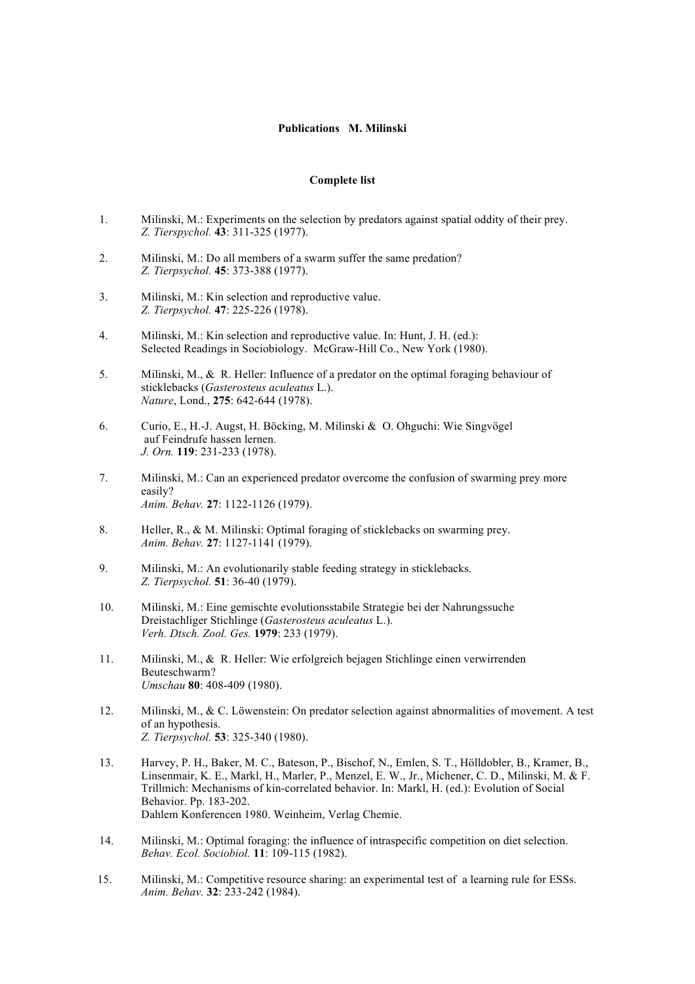## **Publications M. Milinski**

## **Complete list**

- 1. Milinski, M.: Experiments on the selection by predators against spatial oddity of their prey. *Z. Tierspychol.* **43**: 311-325 (1977).
- 2. Milinski, M.: Do all members of a swarm suffer the same predation? *Z. Tierpsychol.* **45**: 373-388 (1977).
- 3. Milinski, M.: Kin selection and reproductive value. *Z. Tierpsychol.* **47**: 225-226 (1978).
- 4. Milinski, M.: Kin selection and reproductive value. In: Hunt, J. H. (ed.): Selected Readings in Sociobiology. McGraw-Hill Co., New York (1980).
- 5. Milinski, M., & R. Heller: Influence of a predator on the optimal foraging behaviour of sticklebacks (*Gasterosteus aculeatus* L.). *Nature*, Lond., **275**: 642-644 (1978).
- 6. Curio, E., H.-J. Augst, H. Böcking, M. Milinski & O. Ohguchi: Wie Singvögel auf Feindrufe hassen lernen. *J. Orn.* **119**: 231-233 (1978).
- 7. Milinski, M.: Can an experienced predator overcome the confusion of swarming prey more easily? *Anim. Behav.* **27**: 1122-1126 (1979).
- 8. Heller, R., & M. Milinski: Optimal foraging of sticklebacks on swarming prey. *Anim. Behav.* **27**: 1127-1141 (1979).
- 9. Milinski, M.: An evolutionarily stable feeding strategy in sticklebacks. *Z. Tierpsychol.* **51**: 36-40 (1979).
- 10. Milinski, M.: Eine gemischte evolutionsstabile Strategie bei der Nahrungssuche Dreistachliger Stichlinge (*Gasterosteus aculeatus* L.). *Verh. Dtsch. Zool. Ges.* **1979**: 233 (1979).
- 11. Milinski, M., & R. Heller: Wie erfolgreich bejagen Stichlinge einen verwirrenden Beuteschwarm? *Umschau* **80**: 408-409 (1980).
- 12. Milinski, M., & C. Löwenstein: On predator selection against abnormalities of movement. A test of an hypothesis. *Z. Tierpsychol.* **53**: 325-340 (1980).
- 13. Harvey, P. H., Baker, M. C., Bateson, P., Bischof, N., Emlen, S. T., Hölldobler, B., Kramer, B., Linsenmair, K. E., Markl, H., Marler, P., Menzel, E. W., Jr., Michener, C. D., Milinski, M. & F. Trillmich: Mechanisms of kin-correlated behavior. In: Markl, H. (ed.): Evolution of Social Behavior. Pp. 183-202. Dahlem Konferencen 1980. Weinheim, Verlag Chemie.
- 14. Milinski, M.: Optimal foraging: the influence of intraspecific competition on diet selection. *Behav. Ecol. Sociobiol.* **11**: 109-115 (1982).
- 15. Milinski, M.: Competitive resource sharing: an experimental test of a learning rule for ESSs. *Anim. Behav.* **32**: 233-242 (1984).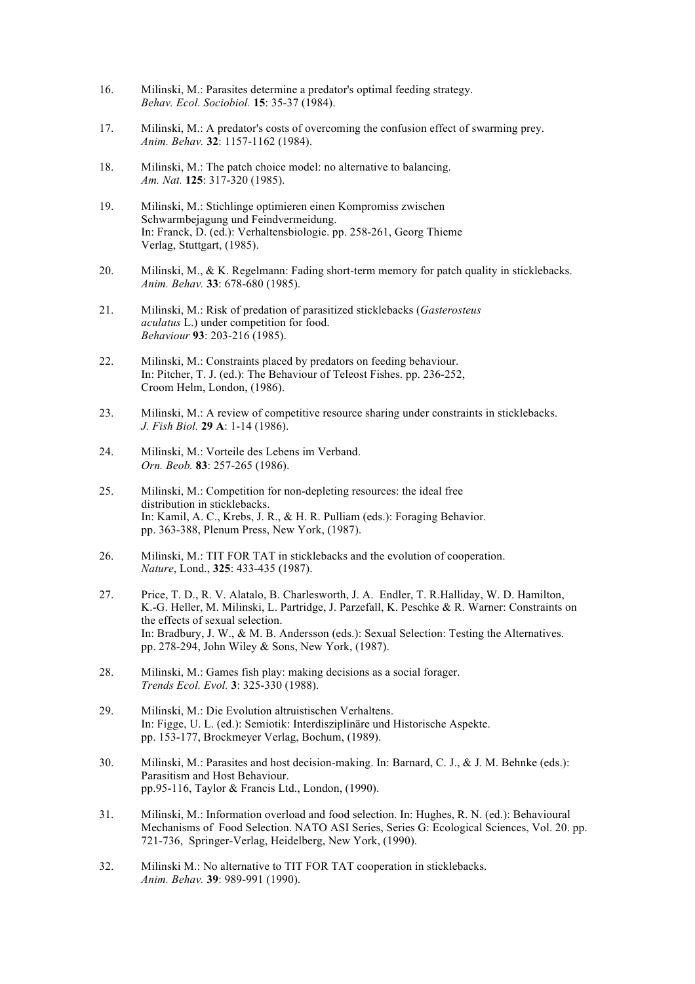- 16. Milinski, M.: Parasites determine a predator's optimal feeding strategy. *Behav. Ecol. Sociobiol.* **15**: 35-37 (1984).
- 17. Milinski, M.: A predator's costs of overcoming the confusion effect of swarming prey. *Anim. Behav.* **32**: 1157-1162 (1984).
- 18. Milinski, M.: The patch choice model: no alternative to balancing. *Am. Nat.* **125**: 317-320 (1985).
- 19. Milinski, M.: Stichlinge optimieren einen Kompromiss zwischen Schwarmbejagung und Feindvermeidung. In: Franck, D. (ed.): Verhaltensbiologie. pp. 258-261, Georg Thieme Verlag, Stuttgart, (1985).
- 20. Milinski, M., & K. Regelmann: Fading short-term memory for patch quality in sticklebacks. *Anim. Behav.* **33**: 678-680 (1985).
- 21. Milinski, M.: Risk of predation of parasitized sticklebacks (*Gasterosteus aculatus* L.) under competition for food. *Behaviour* **93**: 203-216 (1985).
- 22. Milinski, M.: Constraints placed by predators on feeding behaviour. In: Pitcher, T. J. (ed.): The Behaviour of Teleost Fishes. pp. 236-252, Croom Helm, London, (1986).
- 23. Milinski, M.: A review of competitive resource sharing under constraints in sticklebacks. *J. Fish Biol.* **29 A**: 1-14 (1986).
- 24. Milinski, M.: Vorteile des Lebens im Verband. *Orn. Beob.* **83**: 257-265 (1986).
- 25. Milinski, M.: Competition for non-depleting resources: the ideal free distribution in sticklebacks. In: Kamil, A. C., Krebs, J. R., & H. R. Pulliam (eds.): Foraging Behavior. pp. 363-388, Plenum Press, New York, (1987).
- 26. Milinski, M.: TIT FOR TAT in sticklebacks and the evolution of cooperation. *Nature*, Lond., **325**: 433-435 (1987).
- 27. Price, T. D., R. V. Alatalo, B. Charlesworth, J. A. Endler, T. R.Halliday, W. D. Hamilton, K.-G. Heller, M. Milinski, L. Partridge, J. Parzefall, K. Peschke & R. Warner: Constraints on the effects of sexual selection. In: Bradbury, J. W., & M. B. Andersson (eds.): Sexual Selection: Testing the Alternatives. pp. 278-294, John Wiley & Sons, New York, (1987).
- 28. Milinski, M.: Games fish play: making decisions as a social forager. *Trends Ecol. Evol.* **3**: 325-330 (1988).
- 29. Milinski, M.: Die Evolution altruistischen Verhaltens. In: Figge, U. L. (ed.): Semiotik: Interdisziplinäre und Historische Aspekte. pp. 153-177, Brockmeyer Verlag, Bochum, (1989).
- 30. Milinski, M.: Parasites and host decision-making. In: Barnard, C. J., & J. M. Behnke (eds.): Parasitism and Host Behaviour. pp.95-116, Taylor & Francis Ltd., London, (1990).
- 31. Milinski, M.: Information overload and food selection. In: Hughes, R. N. (ed.): Behavioural Mechanisms of Food Selection. NATO ASI Series, Series G: Ecological Sciences, Vol. 20. pp. 721-736, Springer-Verlag, Heidelberg, New York, (1990).
- 32. Milinski M.: No alternative to TIT FOR TAT cooperation in sticklebacks. *Anim. Behav.* **39**: 989-991 (1990).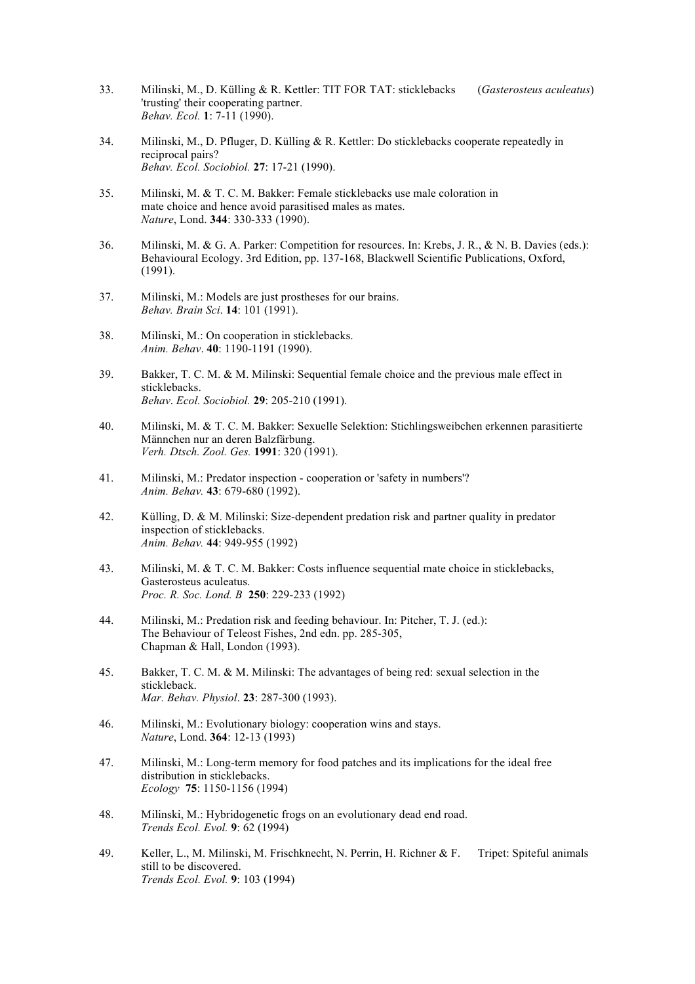- 33. Milinski, M., D. Külling & R. Kettler: TIT FOR TAT: sticklebacks (*Gasterosteus aculeatus*) 'trusting' their cooperating partner. *Behav. Ecol.* **1**: 7-11 (1990).
- 34. Milinski, M., D. Pfluger, D. Külling & R. Kettler: Do sticklebacks cooperate repeatedly in reciprocal pairs? *Behav. Ecol. Sociobiol.* **27**: 17-21 (1990).
- 35. Milinski, M. & T. C. M. Bakker: Female sticklebacks use male coloration in mate choice and hence avoid parasitised males as mates. *Nature*, Lond. **344**: 330-333 (1990).
- 36. Milinski, M. & G. A. Parker: Competition for resources. In: Krebs, J. R., & N. B. Davies (eds.): Behavioural Ecology. 3rd Edition, pp. 137-168, Blackwell Scientific Publications, Oxford, (1991).
- 37. Milinski, M.: Models are just prostheses for our brains. *Behav. Brain Sci*. **14**: 101 (1991).
- 38. Milinski, M.: On cooperation in sticklebacks. *Anim. Behav*. **40**: 1190-1191 (1990).
- 39. Bakker, T. C. M. & M. Milinski: Sequential female choice and the previous male effect in sticklebacks. *Behav*. *Ecol. Sociobiol.* **29**: 205-210 (1991).
- 40. Milinski, M. & T. C. M. Bakker: Sexuelle Selektion: Stichlingsweibchen erkennen parasitierte Männchen nur an deren Balzfärbung. *Verh. Dtsch. Zool. Ges.* **1991**: 320 (1991).
- 41. Milinski, M.: Predator inspection cooperation or 'safety in numbers'? *Anim. Behav.* **43**: 679-680 (1992).
- 42. Külling, D. & M. Milinski: Size-dependent predation risk and partner quality in predator inspection of sticklebacks. *Anim. Behav.* **44**: 949-955 (1992)
- 43. Milinski, M. & T. C. M. Bakker: Costs influence sequential mate choice in sticklebacks, Gasterosteus aculeatus. *Proc. R. Soc. Lond. B* **250**: 229-233 (1992)
- 44. Milinski, M.: Predation risk and feeding behaviour. In: Pitcher, T. J. (ed.): The Behaviour of Teleost Fishes, 2nd edn. pp. 285-305, Chapman & Hall, London (1993).
- 45. Bakker, T. C. M. & M. Milinski: The advantages of being red: sexual selection in the stickleback. *Mar. Behav. Physiol*. **23**: 287-300 (1993).
- 46. Milinski, M.: Evolutionary biology: cooperation wins and stays. *Nature*, Lond. **364**: 12-13 (1993)
- 47. Milinski, M.: Long-term memory for food patches and its implications for the ideal free distribution in sticklebacks. *Ecology* **75**: 1150-1156 (1994)
- 48. Milinski, M.: Hybridogenetic frogs on an evolutionary dead end road. *Trends Ecol. Evol.* **9**: 62 (1994)
- 49. Keller, L., M. Milinski, M. Frischknecht, N. Perrin, H. Richner & F. Tripet: Spiteful animals still to be discovered. *Trends Ecol. Evol.* **9**: 103 (1994)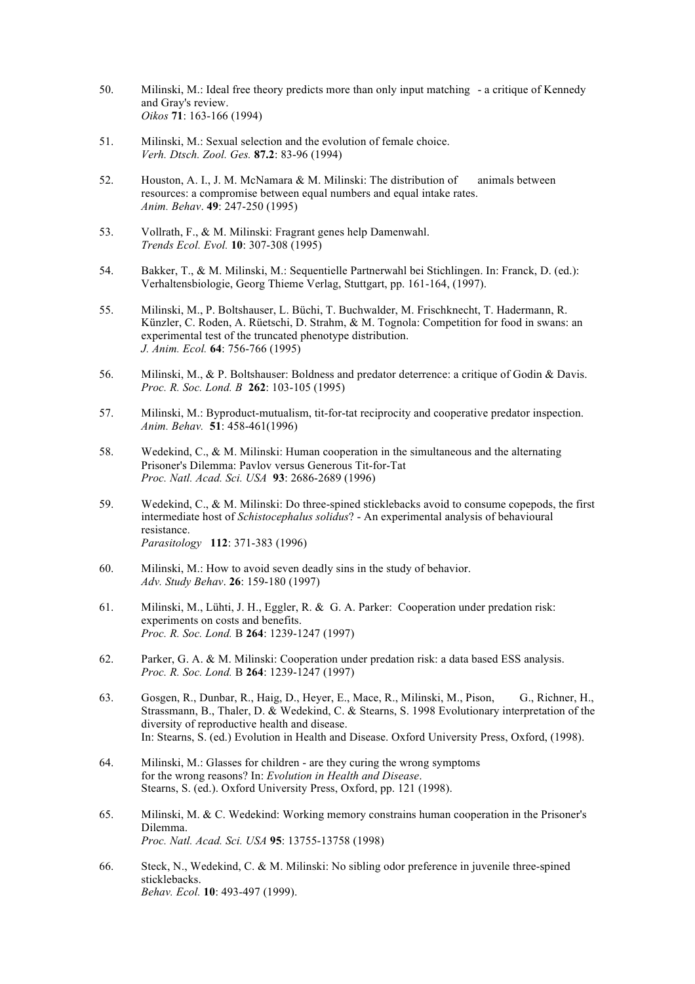- 50. Milinski, M.: Ideal free theory predicts more than only input matching a critique of Kennedy and Gray's review. *Oikos* **71**: 163-166 (1994)
- 51. Milinski, M.: Sexual selection and the evolution of female choice. *Verh. Dtsch. Zool. Ges.* **87.2**: 83-96 (1994)
- 52. Houston, A. I., J. M. McNamara & M. Milinski: The distribution of animals between resources: a compromise between equal numbers and equal intake rates. *Anim. Behav*. **49**: 247-250 (1995)
- 53. Vollrath, F., & M. Milinski: Fragrant genes help Damenwahl. *Trends Ecol. Evol.* **10**: 307-308 (1995)
- 54. Bakker, T., & M. Milinski, M.: Sequentielle Partnerwahl bei Stichlingen. In: Franck, D. (ed.): Verhaltensbiologie, Georg Thieme Verlag, Stuttgart, pp. 161-164, (1997).
- 55. Milinski, M., P. Boltshauser, L. Büchi, T. Buchwalder, M. Frischknecht, T. Hadermann, R. Künzler, C. Roden, A. Rüetschi, D. Strahm, & M. Tognola: Competition for food in swans: an experimental test of the truncated phenotype distribution. *J. Anim. Ecol.* **64**: 756-766 (1995)
- 56. Milinski, M., & P. Boltshauser: Boldness and predator deterrence: a critique of Godin & Davis. *Proc. R. Soc. Lond. B* **262**: 103-105 (1995)
- 57. Milinski, M.: Byproduct-mutualism, tit-for-tat reciprocity and cooperative predator inspection. *Anim. Behav.* **51**: 458-461(1996)
- 58. Wedekind, C., & M. Milinski: Human cooperation in the simultaneous and the alternating Prisoner's Dilemma: Pavlov versus Generous Tit-for-Tat *Proc. Natl. Acad. Sci. USA* **93**: 2686-2689 (1996)
- 59. Wedekind, C., & M. Milinski: Do three-spined sticklebacks avoid to consume copepods, the first intermediate host of *Schistocephalus solidus*? - An experimental analysis of behavioural resistance. *Parasitology* **112**: 371-383 (1996)
- 60. Milinski, M.: How to avoid seven deadly sins in the study of behavior. *Adv. Study Behav*. **26**: 159-180 (1997)
- 61. Milinski, M., Lühti, J. H., Eggler, R. & G. A. Parker: Cooperation under predation risk: experiments on costs and benefits. *Proc. R. Soc. Lond.* B **264**: 1239-1247 (1997)
- 62. Parker, G. A. & M. Milinski: Cooperation under predation risk: a data based ESS analysis. *Proc. R. Soc. Lond.* B **264**: 1239-1247 (1997)
- 63. Gosgen, R., Dunbar, R., Haig, D., Heyer, E., Mace, R., Milinski, M., Pison, G., Richner, H., Strassmann, B., Thaler, D. & Wedekind, C. & Stearns, S. 1998 Evolutionary interpretation of the diversity of reproductive health and disease. In: Stearns, S. (ed.) Evolution in Health and Disease. Oxford University Press, Oxford, (1998).
- 64. Milinski, M.: Glasses for children are they curing the wrong symptoms for the wrong reasons? In: *Evolution in Health and Disease*. Stearns, S. (ed.). Oxford University Press, Oxford, pp. 121 (1998).
- 65. Milinski, M. & C. Wedekind: Working memory constrains human cooperation in the Prisoner's Dilemma. *Proc. Natl. Acad. Sci. USA* **95**: 13755-13758 (1998)
- 66. Steck, N., Wedekind, C. & M. Milinski: No sibling odor preference in juvenile three-spined sticklebacks. *Behav. Ecol.* **10**: 493-497 (1999).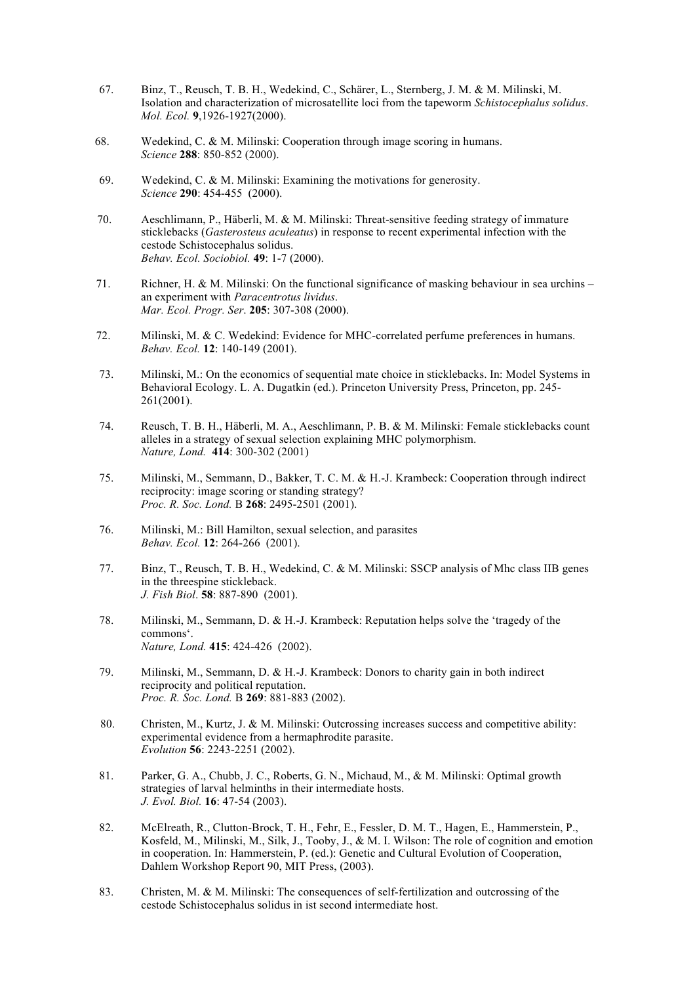- 67. Binz, T., Reusch, T. B. H., Wedekind, C., Schärer, L., Sternberg, J. M. & M. Milinski, M. Isolation and characterization of microsatellite loci from the tapeworm *Schistocephalus solidus*. *Mol. Ecol.* **9**,1926-1927(2000).
- 68. Wedekind, C. & M. Milinski: Cooperation through image scoring in humans. *Science* **288**: 850-852 (2000).
- 69. Wedekind, C. & M. Milinski: Examining the motivations for generosity. *Science* **290**: 454-455 (2000).
- 70. Aeschlimann, P., Häberli, M. & M. Milinski: Threat-sensitive feeding strategy of immature sticklebacks (*Gasterosteus aculeatus*) in response to recent experimental infection with the cestode Schistocephalus solidus. *Behav. Ecol. Sociobiol.* **49**: 1-7 (2000).
- 71. Richner, H. & M. Milinski: On the functional significance of masking behaviour in sea urchins an experiment with *Paracentrotus lividus*. *Mar. Ecol. Progr. Ser*. **205**: 307-308 (2000).
- 72. Milinski, M. & C. Wedekind: Evidence for MHC-correlated perfume preferences in humans. *Behav. Ecol.* **12**: 140-149 (2001).
- 73. Milinski, M.: On the economics of sequential mate choice in sticklebacks. In: Model Systems in Behavioral Ecology. L. A. Dugatkin (ed.). Princeton University Press, Princeton, pp. 245- 261(2001).
- 74. Reusch, T. B. H., Häberli, M. A., Aeschlimann, P. B. & M. Milinski: Female sticklebacks count alleles in a strategy of sexual selection explaining MHC polymorphism. *Nature, Lond.* **414**: 300-302 (2001)
- 75. Milinski, M., Semmann, D., Bakker, T. C. M. & H.-J. Krambeck: Cooperation through indirect reciprocity: image scoring or standing strategy? *Proc. R. Soc. Lond.* B **268**: 2495-2501 (2001).
- 76. Milinski, M.: Bill Hamilton, sexual selection, and parasites *Behav. Ecol.* **12**: 264-266 (2001).
- 77. Binz, T., Reusch, T. B. H., Wedekind, C. & M. Milinski: SSCP analysis of Mhc class IIB genes in the threespine stickleback. *J. Fish Biol*. **58**: 887-890 (2001).
- 78. Milinski, M., Semmann, D. & H.-J. Krambeck: Reputation helps solve the 'tragedy of the commons'. *Nature, Lond.* **415**: 424-426 (2002).
- 79. Milinski, M., Semmann, D. & H.-J. Krambeck: Donors to charity gain in both indirect reciprocity and political reputation. *Proc. R. Soc. Lond.* B **269**: 881-883 (2002).
- 80. Christen, M., Kurtz, J. & M. Milinski: Outcrossing increases success and competitive ability: experimental evidence from a hermaphrodite parasite. *Evolution* **56**: 2243-2251 (2002).
- 81. Parker, G. A., Chubb, J. C., Roberts, G. N., Michaud, M., & M. Milinski: Optimal growth strategies of larval helminths in their intermediate hosts. *J. Evol. Biol.* **16**: 47-54 (2003).
- 82. McElreath, R., Clutton-Brock, T. H., Fehr, E., Fessler, D. M. T., Hagen, E., Hammerstein, P., Kosfeld, M., Milinski, M., Silk, J., Tooby, J., & M. I. Wilson: The role of cognition and emotion in cooperation. In: Hammerstein, P. (ed.): Genetic and Cultural Evolution of Cooperation, Dahlem Workshop Report 90, MIT Press, (2003).
- 83. Christen, M. & M. Milinski: The consequences of self-fertilization and outcrossing of the cestode Schistocephalus solidus in ist second intermediate host.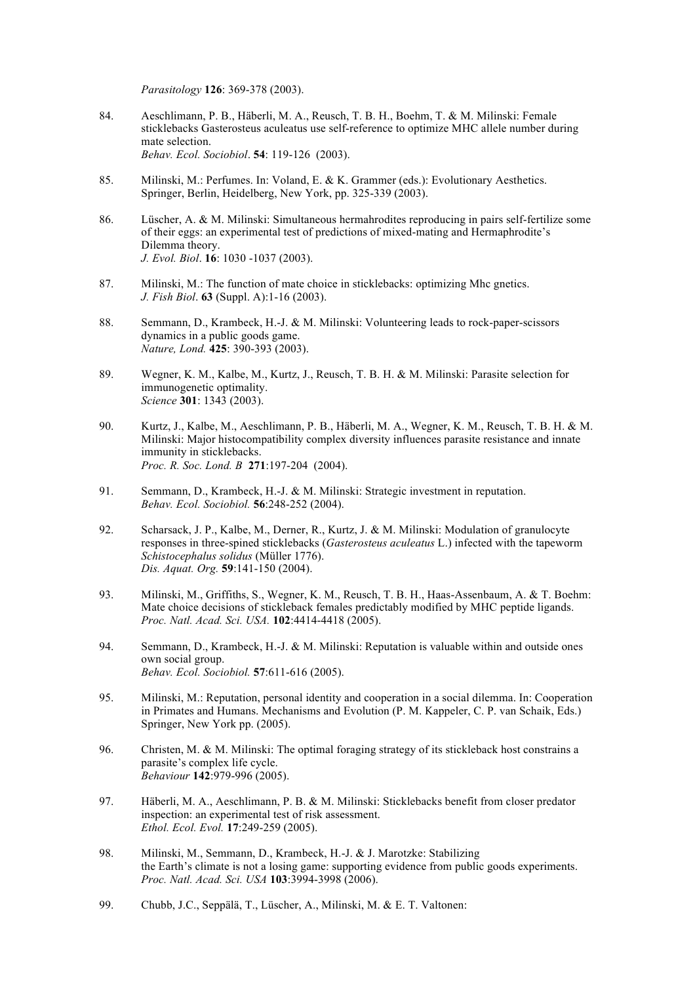*Parasitology* **126**: 369-378 (2003).

- 84. Aeschlimann, P. B., Häberli, M. A., Reusch, T. B. H., Boehm, T. & M. Milinski: Female sticklebacks Gasterosteus aculeatus use self-reference to optimize MHC allele number during mate selection. *Behav. Ecol. Sociobiol*. **54**: 119-126 (2003).
- 85. Milinski, M.: Perfumes. In: Voland, E. & K. Grammer (eds.): Evolutionary Aesthetics. Springer, Berlin, Heidelberg, New York, pp. 325-339 (2003).
- 86. Lüscher, A. & M. Milinski: Simultaneous hermahrodites reproducing in pairs self-fertilize some of their eggs: an experimental test of predictions of mixed-mating and Hermaphrodite's Dilemma theory. *J. Evol. Biol*. **16**: 1030 -1037 (2003).
- 87. Milinski, M.: The function of mate choice in sticklebacks: optimizing Mhc gnetics. *J. Fish Biol*. **63** (Suppl. A):1-16 (2003).
- 88. Semmann, D., Krambeck, H.-J. & M. Milinski: Volunteering leads to rock-paper-scissors dynamics in a public goods game. *Nature, Lond.* **425**: 390-393 (2003).
- 89. Wegner, K. M., Kalbe, M., Kurtz, J., Reusch, T. B. H. & M. Milinski: Parasite selection for immunogenetic optimality. *Science* **301**: 1343 (2003).
- 90. Kurtz, J., Kalbe, M., Aeschlimann, P. B., Häberli, M. A., Wegner, K. M., Reusch, T. B. H. & M. Milinski: Major histocompatibility complex diversity influences parasite resistance and innate immunity in sticklebacks. *Proc. R. Soc. Lond. B* **271**:197-204 (2004).
- 91. Semmann, D., Krambeck, H.-J. & M. Milinski: Strategic investment in reputation. *Behav. Ecol. Sociobiol.* **56**:248-252 (2004).
- 92. Scharsack, J. P., Kalbe, M., Derner, R., Kurtz, J. & M. Milinski: Modulation of granulocyte responses in three-spined sticklebacks (*Gasterosteus aculeatus* L.) infected with the tapeworm *Schistocephalus solidus* (Müller 1776). *Dis. Aquat. Org.* **59**:141-150 (2004).
- 93. Milinski, M., Griffiths, S., Wegner, K. M., Reusch, T. B. H., Haas-Assenbaum, A. & T. Boehm: Mate choice decisions of stickleback females predictably modified by MHC peptide ligands. *Proc. Natl. Acad. Sci. USA.* **102**:4414-4418 (2005).
- 94. Semmann, D., Krambeck, H.-J. & M. Milinski: Reputation is valuable within and outside ones own social group. *Behav. Ecol. Sociobiol.* **57**:611-616 (2005).
- 95. Milinski, M.: Reputation, personal identity and cooperation in a social dilemma. In: Cooperation in Primates and Humans. Mechanisms and Evolution (P. M. Kappeler, C. P. van Schaik, Eds.) Springer, New York pp. (2005).
- 96. Christen, M. & M. Milinski: The optimal foraging strategy of its stickleback host constrains a parasite's complex life cycle. *Behaviour* **142**:979-996 (2005).
- 97. Häberli, M. A., Aeschlimann, P. B. & M. Milinski: Sticklebacks benefit from closer predator inspection: an experimental test of risk assessment. *Ethol. Ecol. Evol.* **17**:249-259 (2005).
- 98. Milinski, M., Semmann, D., Krambeck, H.-J. & J. Marotzke: Stabilizing the Earth's climate is not a losing game: supporting evidence from public goods experiments. *Proc. Natl. Acad. Sci. USA* **103**:3994-3998 (2006).
- 99. Chubb, J.C., Seppälä, T., Lüscher, A., Milinski, M. & E. T. Valtonen: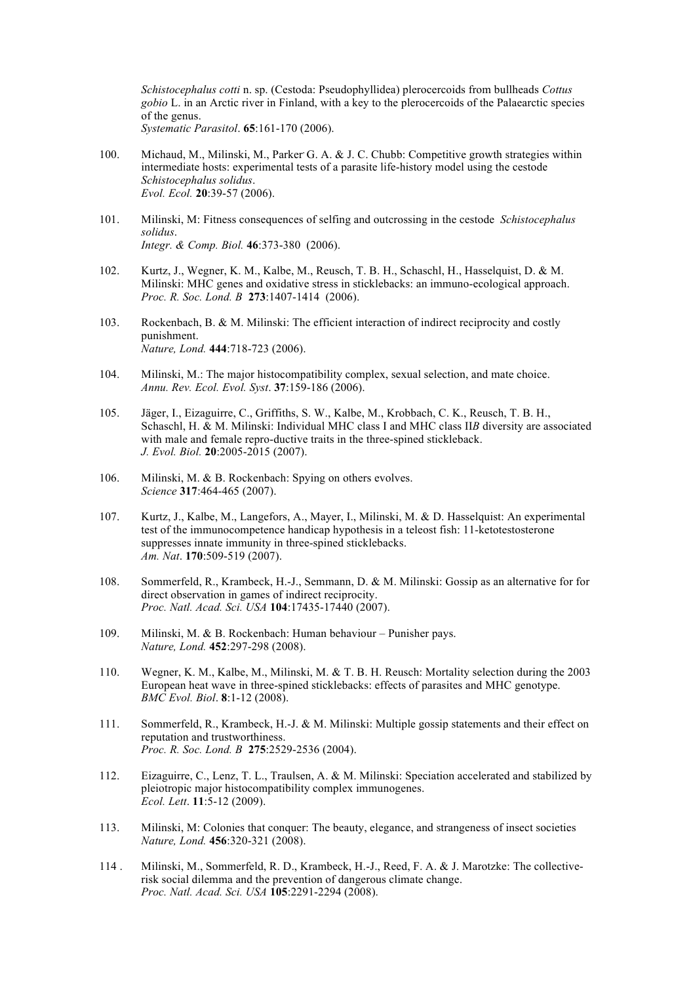*Schistocephalus cotti* n. sp. (Cestoda: Pseudophyllidea) plerocercoids from bullheads *Cottus gobio* L. in an Arctic river in Finland, with a key to the plerocercoids of the Palaearctic species of the genus. *Systematic Parasitol*. **65**:161-170 (2006).

- 100. Michaud, M., Milinski, M., Parker G. A. & J. C. Chubb: Competitive growth strategies within intermediate hosts: experimental tests of a parasite life-history model using the cestode *Schistocephalus solidus*. *Evol. Ecol.* **20**:39-57 (2006).
- 101. Milinski, M: Fitness consequences of selfing and outcrossing in the cestode *Schistocephalus solidus*. *Integr. & Comp. Biol.* **46**:373-380 (2006).
- 102. Kurtz, J., Wegner, K. M., Kalbe, M., Reusch, T. B. H., Schaschl, H., Hasselquist, D. & M. Milinski: MHC genes and oxidative stress in sticklebacks: an immuno-ecological approach. *Proc. R. Soc. Lond. B* **273**:1407-1414 (2006).
- 103. Rockenbach, B. & M. Milinski: The efficient interaction of indirect reciprocity and costly punishment. *Nature, Lond.* **444**:718-723 (2006).
- 104. Milinski, M.: The major histocompatibility complex, sexual selection, and mate choice. *Annu. Rev. Ecol. Evol. Syst*. **37**:159-186 (2006).
- 105. Jäger, I., Eizaguirre, C., Griffiths, S. W., Kalbe, M., Krobbach, C. K., Reusch, T. B. H., Schaschl, H. & M. Milinski: Individual MHC class I and MHC class II*B* diversity are associated with male and female repro-ductive traits in the three-spined stickleback. *J. Evol. Biol.* **20**:2005-2015 (2007).
- 106. Milinski, M. & B. Rockenbach: Spying on others evolves. *Science* **317**:464-465 (2007).
- 107. Kurtz, J., Kalbe, M., Langefors, A., Mayer, I., Milinski, M. & D. Hasselquist: An experimental test of the immunocompetence handicap hypothesis in a teleost fish: 11-ketotestosterone suppresses innate immunity in three-spined sticklebacks. *Am. Nat*. **170**:509-519 (2007).
- 108. Sommerfeld, R., Krambeck, H.-J., Semmann, D. & M. Milinski: Gossip as an alternative for for direct observation in games of indirect reciprocity. *Proc. Natl. Acad. Sci. USA* **104**:17435-17440 (2007).
- 109. Milinski, M. & B. Rockenbach: Human behaviour Punisher pays. *Nature, Lond.* **452**:297-298 (2008).
- 110. Wegner, K. M., Kalbe, M., Milinski, M. & T. B. H. Reusch: Mortality selection during the 2003 European heat wave in three-spined sticklebacks: effects of parasites and MHC genotype. *BMC Evol. Biol*. **8**:1-12 (2008).
- 111. Sommerfeld, R., Krambeck, H.-J. & M. Milinski: Multiple gossip statements and their effect on reputation and trustworthiness. *Proc. R. Soc. Lond. B* **275**:2529-2536 (2004).
- 112. Eizaguirre, C., Lenz, T. L., Traulsen, A. & M. Milinski: Speciation accelerated and stabilized by pleiotropic major histocompatibility complex immunogenes. *Ecol. Lett*. **11**:5-12 (2009).
- 113. Milinski, M: Colonies that conquer: The beauty, elegance, and strangeness of insect societies *Nature, Lond.* **456**:320-321 (2008).
- 114 . Milinski, M., Sommerfeld, R. D., Krambeck, H.-J., Reed, F. A. & J. Marotzke: The collectiverisk social dilemma and the prevention of dangerous climate change. *Proc. Natl. Acad. Sci. USA* **105**:2291-2294 (2008).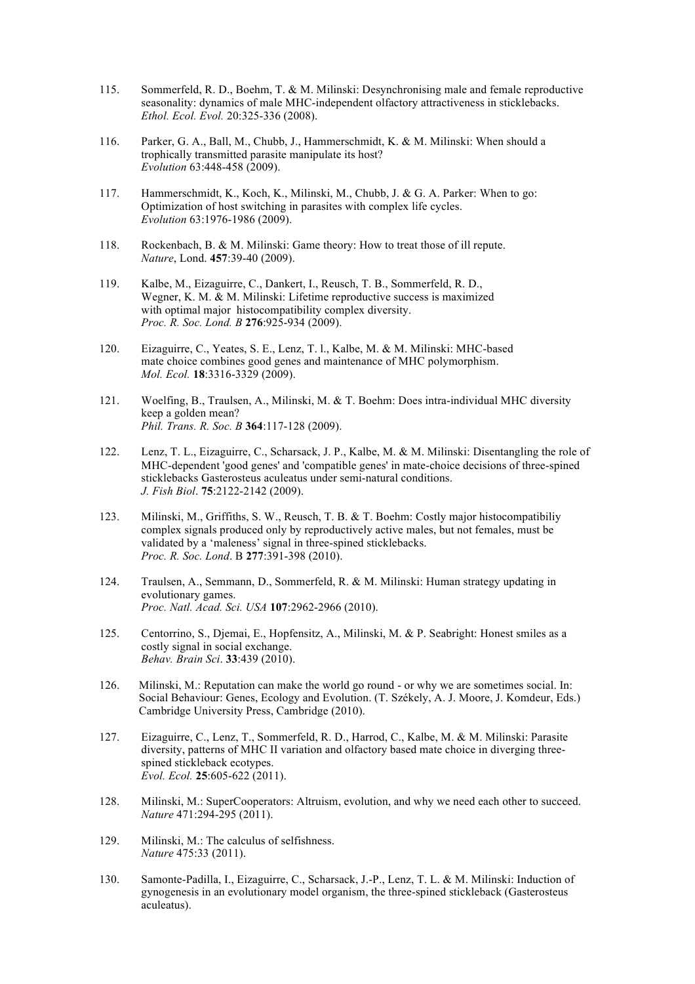- 115. Sommerfeld, R. D., Boehm, T. & M. Milinski: Desynchronising male and female reproductive seasonality: dynamics of male MHC-independent olfactory attractiveness in sticklebacks. *Ethol. Ecol. Evol.* 20:325-336 (2008).
- 116. Parker, G. A., Ball, M., Chubb, J., Hammerschmidt, K. & M. Milinski: When should a trophically transmitted parasite manipulate its host? *Evolution* 63:448-458 (2009).
- 117. Hammerschmidt, K., Koch, K., Milinski, M., Chubb, J. & G. A. Parker: When to go: Optimization of host switching in parasites with complex life cycles. *Evolution* 63:1976-1986 (2009).
- 118. Rockenbach, B. & M. Milinski: Game theory: How to treat those of ill repute. *Nature*, Lond. **457**:39-40 (2009).
- 119. Kalbe, M., Eizaguirre, C., Dankert, I., Reusch, T. B., Sommerfeld, R. D., Wegner, K. M. & M. Milinski: Lifetime reproductive success is maximized with optimal major histocompatibility complex diversity. *Proc. R. Soc. Lond. B* **276**:925-934 (2009).
- 120. Eizaguirre, C., Yeates, S. E., Lenz, T. l., Kalbe, M. & M. Milinski: MHC-based mate choice combines good genes and maintenance of MHC polymorphism. *Mol. Ecol.* **18**:3316-3329 (2009).
- 121. Woelfing, B., Traulsen, A., Milinski, M. & T. Boehm: Does intra-individual MHC diversity keep a golden mean? *Phil. Trans. R. Soc. B* **364**:117-128 (2009).
- 122. Lenz, T. L., Eizaguirre, C., Scharsack, J. P., Kalbe, M. & M. Milinski: Disentangling the role of MHC-dependent 'good genes' and 'compatible genes' in mate-choice decisions of three-spined sticklebacks Gasterosteus aculeatus under semi-natural conditions. *J. Fish Biol*. **75**:2122-2142 (2009).
- 123. Milinski, M., Griffiths, S. W., Reusch, T. B. & T. Boehm: Costly major histocompatibiliy complex signals produced only by reproductively active males, but not females, must be validated by a 'maleness' signal in three-spined sticklebacks. *Proc. R. Soc. Lond*. B **277**:391-398 (2010).
- 124. Traulsen, A., Semmann, D., Sommerfeld, R. & M. Milinski: Human strategy updating in evolutionary games. *Proc. Natl. Acad. Sci. USA* **107**:2962-2966 (2010).
- 125. Centorrino, S., Djemai, E., Hopfensitz, A., Milinski, M. & P. Seabright: Honest smiles as a costly signal in social exchange. *Behav. Brain Sci*. **33**:439 (2010).
- 126. Milinski, M.: Reputation can make the world go round or why we are sometimes social. In: Social Behaviour: Genes, Ecology and Evolution. (T. Székely, A. J. Moore, J. Komdeur, Eds.) Cambridge University Press, Cambridge (2010).
- 127. Eizaguirre, C., Lenz, T., Sommerfeld, R. D., Harrod, C., Kalbe, M. & M. Milinski: Parasite diversity, patterns of MHC II variation and olfactory based mate choice in diverging threespined stickleback ecotypes. *Evol. Ecol.* **25**:605-622 (2011).
- 128. Milinski, M.: SuperCooperators: Altruism, evolution, and why we need each other to succeed. *Nature* 471:294-295 (2011).
- 129. Milinski, M.: The calculus of selfishness. *Nature* 475:33 (2011).
- 130. Samonte-Padilla, I., Eizaguirre, C., Scharsack, J.-P., Lenz, T. L. & M. Milinski: Induction of gynogenesis in an evolutionary model organism, the three-spined stickleback (Gasterosteus aculeatus).